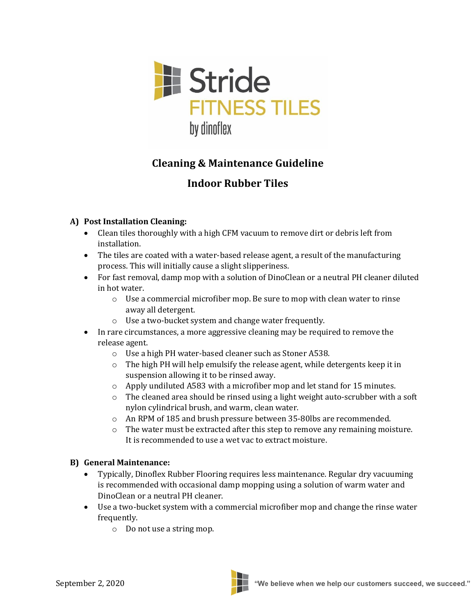

# **Cleaning & Maintenance Guideline**

## **Indoor Rubber Tiles**

### **A) Post Installation Cleaning:**

- Clean tiles thoroughly with a high CFM vacuum to remove dirt or debris left from installation.
- The tiles are coated with a water-based release agent, a result of the manufacturing process. This will initially cause a slight slipperiness.
- For fast removal, damp mop with a solution of DinoClean or a neutral PH cleaner diluted in hot water.
	- o Use a commercial microfiber mop. Be sure to mop with clean water to rinse away all detergent.
	- o Use a two-bucket system and change water frequently.
- In rare circumstances, a more aggressive cleaning may be required to remove the release agent.
	- o Use a high PH water-based cleaner such as Stoner A538.
	- o The high PH will help emulsify the release agent, while detergents keep it in suspension allowing it to be rinsed away.
	- o Apply undiluted A583 with a microfiber mop and let stand for 15 minutes.
	- $\circ$  The cleaned area should be rinsed using a light weight auto-scrubber with a soft nylon cylindrical brush, and warm, clean water.
	- o An RPM of 185 and brush pressure between 35-80lbs are recommended.
	- $\circ$  The water must be extracted after this step to remove any remaining moisture. It is recommended to use a wet vac to extract moisture.

### **B) General Maintenance:**

- Typically, Dinoflex Rubber Flooring requires less maintenance. Regular dry vacuuming is recommended with occasional damp mopping using a solution of warm water and DinoClean or a neutral PH cleaner.
- Use a two-bucket system with a commercial microfiber mop and change the rinse water frequently.
	- o Do not use a string mop.